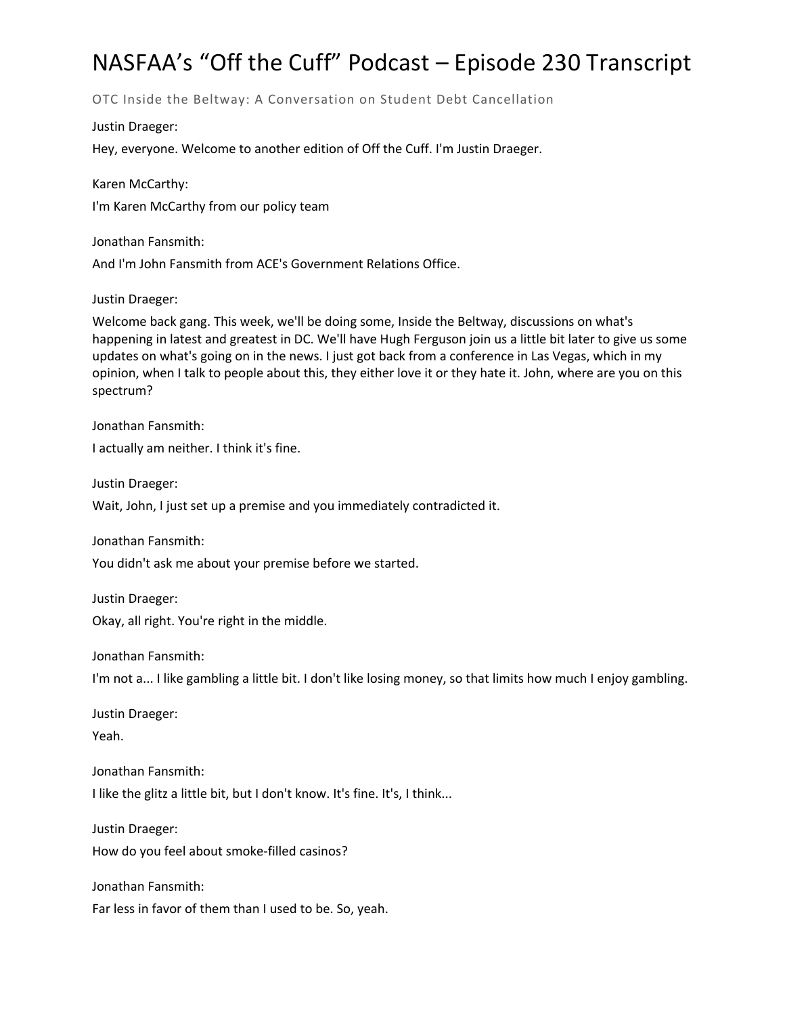# NASFAA's "Off the Cuff" Podcast – Episode 230 Transcript

OTC Inside the Beltway: A Conversation on Student Debt Cancellation

Justin Draeger:

Hey, everyone. Welcome to another edition of Off the Cuff. I'm Justin Draeger.

Karen McCarthy: I'm Karen McCarthy from our policy team

Jonathan Fansmith: And I'm John Fansmith from ACE's Government Relations Office.

Justin Draeger:

Welcome back gang. This week, we'll be doing some, Inside the Beltway, discussions on what's happening in latest and greatest in DC. We'll have Hugh Ferguson join us a little bit later to give us some updates on what's going on in the news. I just got back from a conference in Las Vegas, which in my opinion, when I talk to people about this, they either love it or they hate it. John, where are you on this spectrum?

Jonathan Fansmith:

I actually am neither. I think it's fine.

Justin Draeger:

Wait, John, I just set up a premise and you immediately contradicted it.

Jonathan Fansmith:

You didn't ask me about your premise before we started.

Justin Draeger: Okay, all right. You're right in the middle.

Jonathan Fansmith:

I'm not a... I like gambling a little bit. I don't like losing money, so that limits how much I enjoy gambling.

Justin Draeger:

Yeah.

Jonathan Fansmith:

I like the glitz a little bit, but I don't know. It's fine. It's, I think...

Justin Draeger: How do you feel about smoke-filled casinos?

Jonathan Fansmith:

Far less in favor of them than I used to be. So, yeah.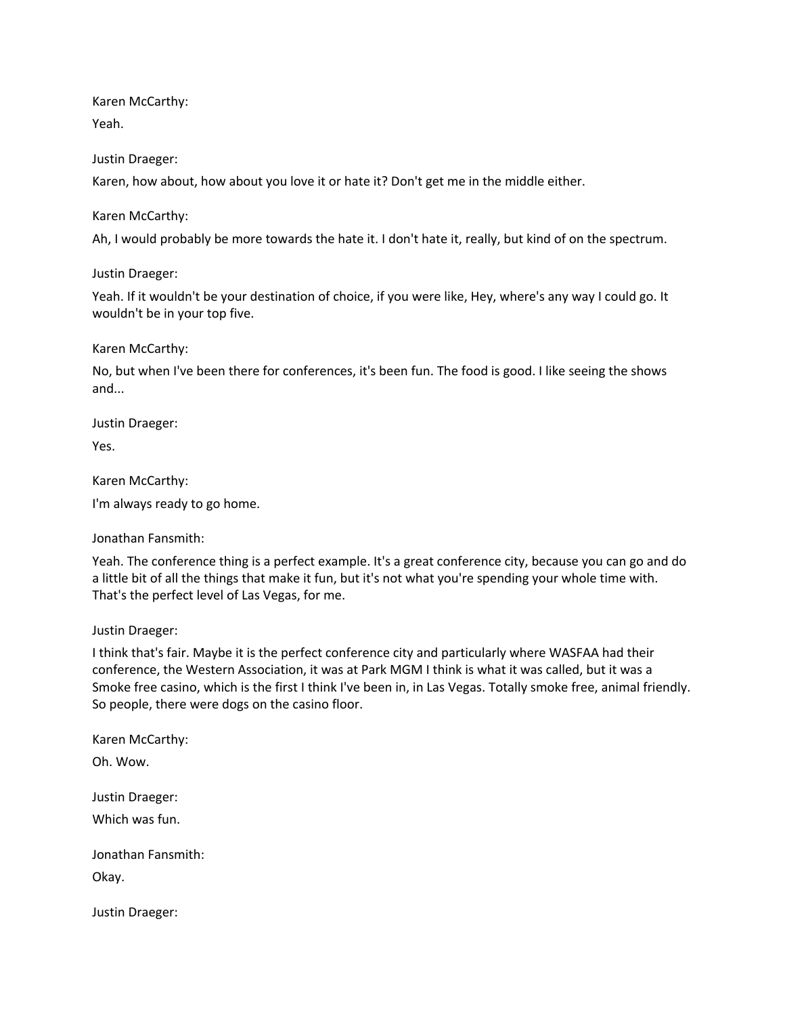Karen McCarthy:

Yeah.

# Justin Draeger:

Karen, how about, how about you love it or hate it? Don't get me in the middle either.

# Karen McCarthy:

Ah, I would probably be more towards the hate it. I don't hate it, really, but kind of on the spectrum.

Justin Draeger:

Yeah. If it wouldn't be your destination of choice, if you were like, Hey, where's any way I could go. It wouldn't be in your top five.

Karen McCarthy:

No, but when I've been there for conferences, it's been fun. The food is good. I like seeing the shows and...

Justin Draeger:

Yes.

Karen McCarthy:

I'm always ready to go home.

Jonathan Fansmith:

Yeah. The conference thing is a perfect example. It's a great conference city, because you can go and do a little bit of all the things that make it fun, but it's not what you're spending your whole time with. That's the perfect level of Las Vegas, for me.

Justin Draeger:

I think that's fair. Maybe it is the perfect conference city and particularly where WASFAA had their conference, the Western Association, it was at Park MGM I think is what it was called, but it was a Smoke free casino, which is the first I think I've been in, in Las Vegas. Totally smoke free, animal friendly. So people, there were dogs on the casino floor.

Karen McCarthy: Oh. Wow. Justin Draeger: Which was fun. Jonathan Fansmith: Okay.

Justin Draeger: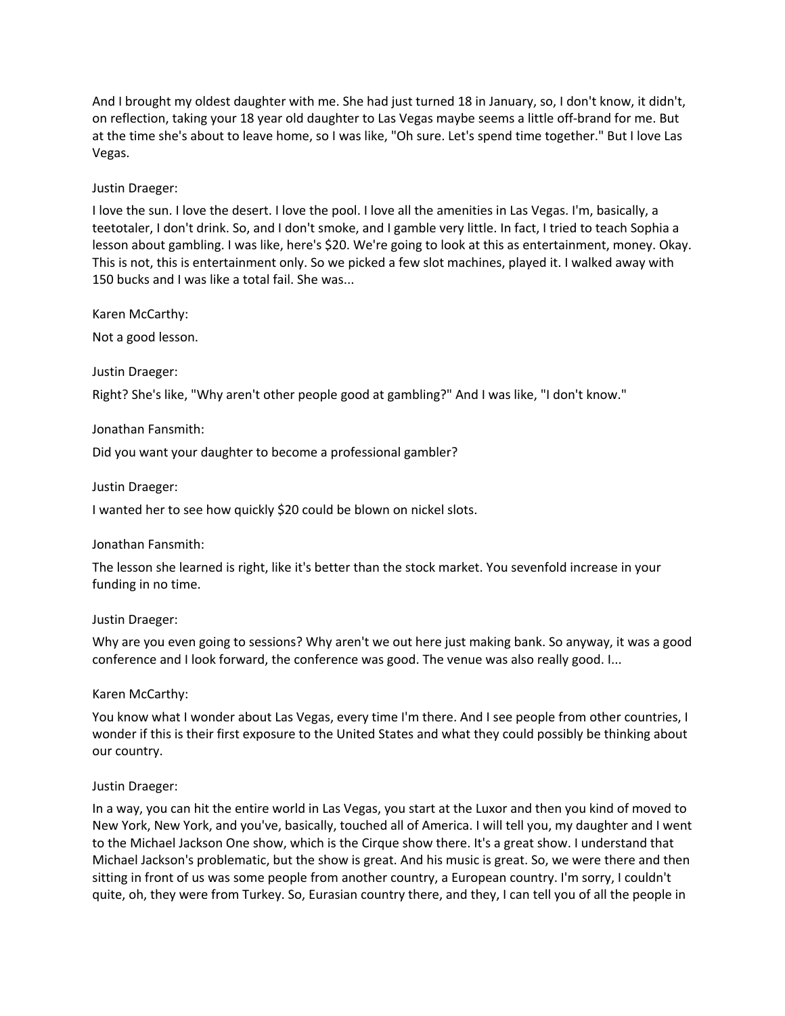And I brought my oldest daughter with me. She had just turned 18 in January, so, I don't know, it didn't, on reflection, taking your 18 year old daughter to Las Vegas maybe seems a little off-brand for me. But at the time she's about to leave home, so I was like, "Oh sure. Let's spend time together." But I love Las Vegas.

#### Justin Draeger:

I love the sun. I love the desert. I love the pool. I love all the amenities in Las Vegas. I'm, basically, a teetotaler, I don't drink. So, and I don't smoke, and I gamble very little. In fact, I tried to teach Sophia a lesson about gambling. I was like, here's \$20. We're going to look at this as entertainment, money. Okay. This is not, this is entertainment only. So we picked a few slot machines, played it. I walked away with 150 bucks and I was like a total fail. She was...

Karen McCarthy:

Not a good lesson.

Justin Draeger:

Right? She's like, "Why aren't other people good at gambling?" And I was like, "I don't know."

#### Jonathan Fansmith:

Did you want your daughter to become a professional gambler?

Justin Draeger:

I wanted her to see how quickly \$20 could be blown on nickel slots.

#### Jonathan Fansmith:

The lesson she learned is right, like it's better than the stock market. You sevenfold increase in your funding in no time.

#### Justin Draeger:

Why are you even going to sessions? Why aren't we out here just making bank. So anyway, it was a good conference and I look forward, the conference was good. The venue was also really good. I...

#### Karen McCarthy:

You know what I wonder about Las Vegas, every time I'm there. And I see people from other countries, I wonder if this is their first exposure to the United States and what they could possibly be thinking about our country.

# Justin Draeger:

In a way, you can hit the entire world in Las Vegas, you start at the Luxor and then you kind of moved to New York, New York, and you've, basically, touched all of America. I will tell you, my daughter and I went to the Michael Jackson One show, which is the Cirque show there. It's a great show. I understand that Michael Jackson's problematic, but the show is great. And his music is great. So, we were there and then sitting in front of us was some people from another country, a European country. I'm sorry, I couldn't quite, oh, they were from Turkey. So, Eurasian country there, and they, I can tell you of all the people in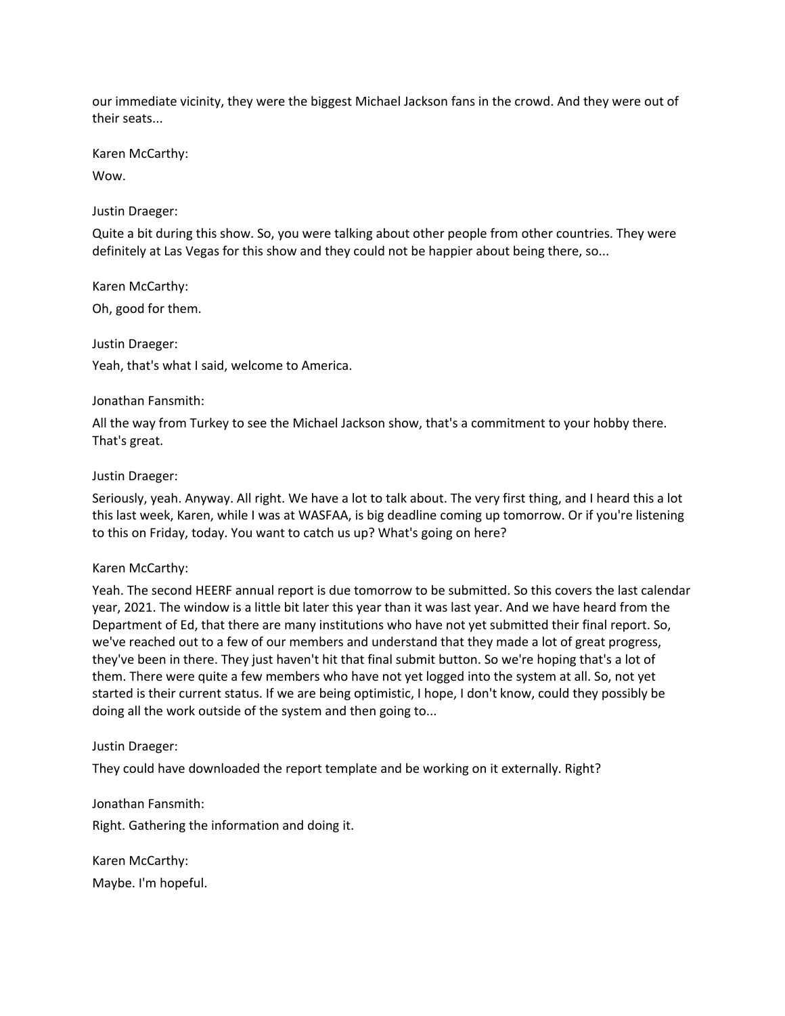our immediate vicinity, they were the biggest Michael Jackson fans in the crowd. And they were out of their seats...

Karen McCarthy:

Wow.

Justin Draeger:

Quite a bit during this show. So, you were talking about other people from other countries. They were definitely at Las Vegas for this show and they could not be happier about being there, so...

Karen McCarthy:

Oh, good for them.

Justin Draeger:

Yeah, that's what I said, welcome to America.

#### Jonathan Fansmith:

All the way from Turkey to see the Michael Jackson show, that's a commitment to your hobby there. That's great.

#### Justin Draeger:

Seriously, yeah. Anyway. All right. We have a lot to talk about. The very first thing, and I heard this a lot this last week, Karen, while I was at WASFAA, is big deadline coming up tomorrow. Or if you're listening to this on Friday, today. You want to catch us up? What's going on here?

#### Karen McCarthy:

Yeah. The second HEERF annual report is due tomorrow to be submitted. So this covers the last calendar year, 2021. The window is a little bit later this year than it was last year. And we have heard from the Department of Ed, that there are many institutions who have not yet submitted their final report. So, we've reached out to a few of our members and understand that they made a lot of great progress, they've been in there. They just haven't hit that final submit button. So we're hoping that's a lot of them. There were quite a few members who have not yet logged into the system at all. So, not yet started is their current status. If we are being optimistic, I hope, I don't know, could they possibly be doing all the work outside of the system and then going to...

# Justin Draeger:

They could have downloaded the report template and be working on it externally. Right?

Jonathan Fansmith: Right. Gathering the information and doing it.

Karen McCarthy: Maybe. I'm hopeful.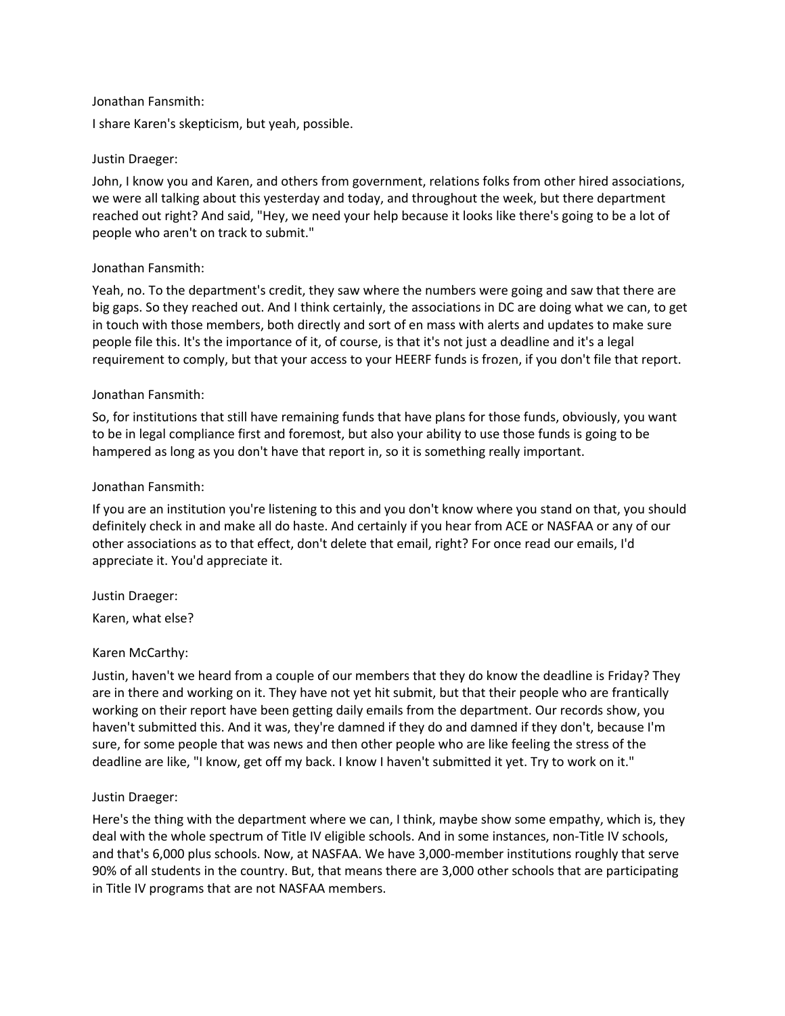#### Jonathan Fansmith:

I share Karen's skepticism, but yeah, possible.

#### Justin Draeger:

John, I know you and Karen, and others from government, relations folks from other hired associations, we were all talking about this yesterday and today, and throughout the week, but there department reached out right? And said, "Hey, we need your help because it looks like there's going to be a lot of people who aren't on track to submit."

#### Jonathan Fansmith:

Yeah, no. To the department's credit, they saw where the numbers were going and saw that there are big gaps. So they reached out. And I think certainly, the associations in DC are doing what we can, to get in touch with those members, both directly and sort of en mass with alerts and updates to make sure people file this. It's the importance of it, of course, is that it's not just a deadline and it's a legal requirement to comply, but that your access to your HEERF funds is frozen, if you don't file that report.

#### Jonathan Fansmith:

So, for institutions that still have remaining funds that have plans for those funds, obviously, you want to be in legal compliance first and foremost, but also your ability to use those funds is going to be hampered as long as you don't have that report in, so it is something really important.

#### Jonathan Fansmith:

If you are an institution you're listening to this and you don't know where you stand on that, you should definitely check in and make all do haste. And certainly if you hear from ACE or NASFAA or any of our other associations as to that effect, don't delete that email, right? For once read our emails, I'd appreciate it. You'd appreciate it.

Justin Draeger: Karen, what else?

Karen McCarthy:

Justin, haven't we heard from a couple of our members that they do know the deadline is Friday? They are in there and working on it. They have not yet hit submit, but that their people who are frantically working on their report have been getting daily emails from the department. Our records show, you haven't submitted this. And it was, they're damned if they do and damned if they don't, because I'm sure, for some people that was news and then other people who are like feeling the stress of the deadline are like, "I know, get off my back. I know I haven't submitted it yet. Try to work on it."

# Justin Draeger:

Here's the thing with the department where we can, I think, maybe show some empathy, which is, they deal with the whole spectrum of Title IV eligible schools. And in some instances, non-Title IV schools, and that's 6,000 plus schools. Now, at NASFAA. We have 3,000-member institutions roughly that serve 90% of all students in the country. But, that means there are 3,000 other schools that are participating in Title IV programs that are not NASFAA members.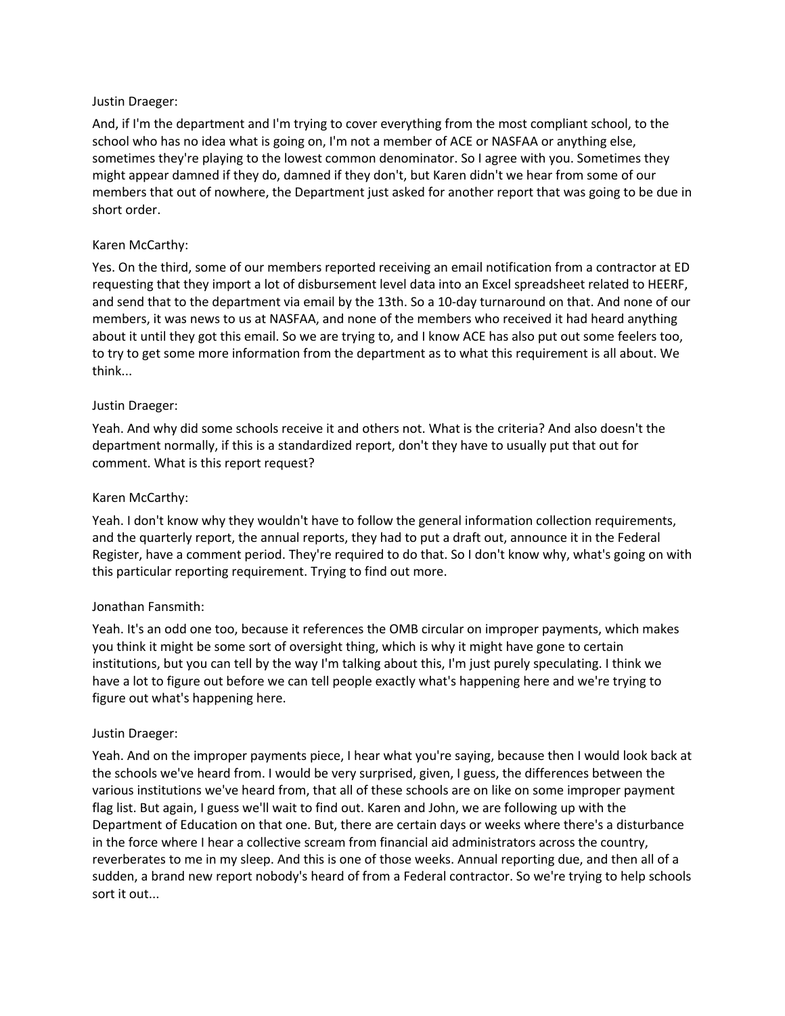# Justin Draeger:

And, if I'm the department and I'm trying to cover everything from the most compliant school, to the school who has no idea what is going on, I'm not a member of ACE or NASFAA or anything else, sometimes they're playing to the lowest common denominator. So I agree with you. Sometimes they might appear damned if they do, damned if they don't, but Karen didn't we hear from some of our members that out of nowhere, the Department just asked for another report that was going to be due in short order.

# Karen McCarthy:

Yes. On the third, some of our members reported receiving an email notification from a contractor at ED requesting that they import a lot of disbursement level data into an Excel spreadsheet related to HEERF, and send that to the department via email by the 13th. So a 10-day turnaround on that. And none of our members, it was news to us at NASFAA, and none of the members who received it had heard anything about it until they got this email. So we are trying to, and I know ACE has also put out some feelers too, to try to get some more information from the department as to what this requirement is all about. We think...

# Justin Draeger:

Yeah. And why did some schools receive it and others not. What is the criteria? And also doesn't the department normally, if this is a standardized report, don't they have to usually put that out for comment. What is this report request?

# Karen McCarthy:

Yeah. I don't know why they wouldn't have to follow the general information collection requirements, and the quarterly report, the annual reports, they had to put a draft out, announce it in the Federal Register, have a comment period. They're required to do that. So I don't know why, what's going on with this particular reporting requirement. Trying to find out more.

# Jonathan Fansmith:

Yeah. It's an odd one too, because it references the OMB circular on improper payments, which makes you think it might be some sort of oversight thing, which is why it might have gone to certain institutions, but you can tell by the way I'm talking about this, I'm just purely speculating. I think we have a lot to figure out before we can tell people exactly what's happening here and we're trying to figure out what's happening here.

# Justin Draeger:

Yeah. And on the improper payments piece, I hear what you're saying, because then I would look back at the schools we've heard from. I would be very surprised, given, I guess, the differences between the various institutions we've heard from, that all of these schools are on like on some improper payment flag list. But again, I guess we'll wait to find out. Karen and John, we are following up with the Department of Education on that one. But, there are certain days or weeks where there's a disturbance in the force where I hear a collective scream from financial aid administrators across the country, reverberates to me in my sleep. And this is one of those weeks. Annual reporting due, and then all of a sudden, a brand new report nobody's heard of from a Federal contractor. So we're trying to help schools sort it out...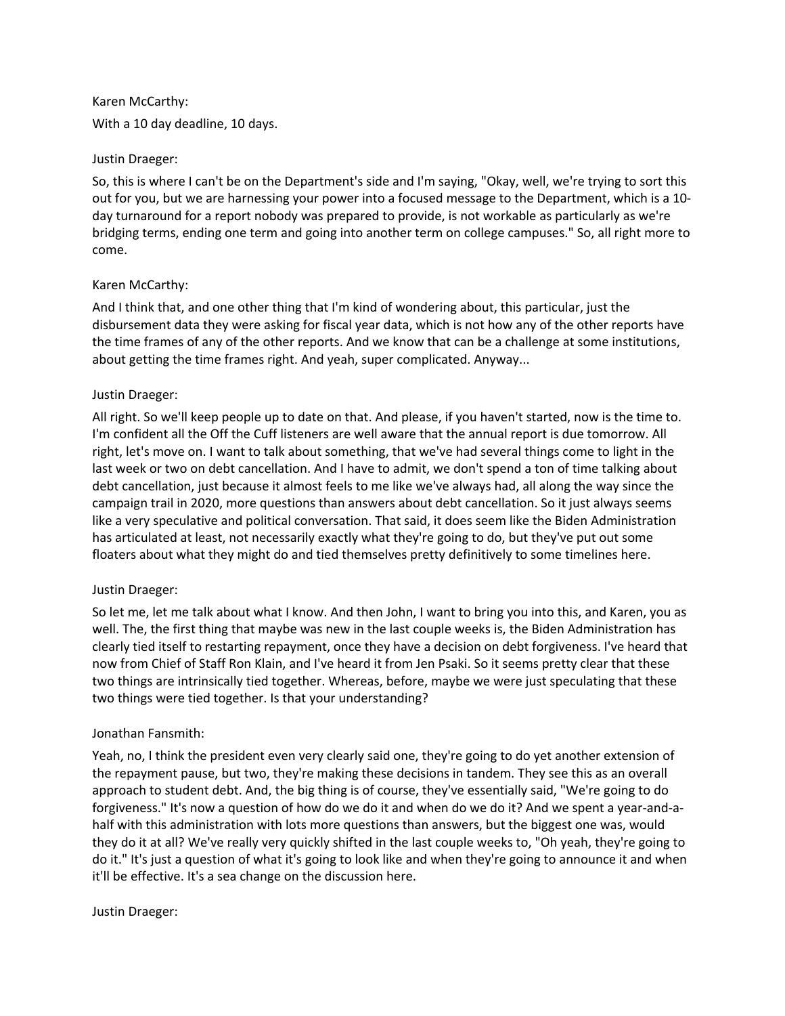Karen McCarthy: With a 10 day deadline, 10 days.

#### Justin Draeger:

So, this is where I can't be on the Department's side and I'm saying, "Okay, well, we're trying to sort this out for you, but we are harnessing your power into a focused message to the Department, which is a 10 day turnaround for a report nobody was prepared to provide, is not workable as particularly as we're bridging terms, ending one term and going into another term on college campuses." So, all right more to come.

# Karen McCarthy:

And I think that, and one other thing that I'm kind of wondering about, this particular, just the disbursement data they were asking for fiscal year data, which is not how any of the other reports have the time frames of any of the other reports. And we know that can be a challenge at some institutions, about getting the time frames right. And yeah, super complicated. Anyway...

#### Justin Draeger:

All right. So we'll keep people up to date on that. And please, if you haven't started, now is the time to. I'm confident all the Off the Cuff listeners are well aware that the annual report is due tomorrow. All right, let's move on. I want to talk about something, that we've had several things come to light in the last week or two on debt cancellation. And I have to admit, we don't spend a ton of time talking about debt cancellation, just because it almost feels to me like we've always had, all along the way since the campaign trail in 2020, more questions than answers about debt cancellation. So it just always seems like a very speculative and political conversation. That said, it does seem like the Biden Administration has articulated at least, not necessarily exactly what they're going to do, but they've put out some floaters about what they might do and tied themselves pretty definitively to some timelines here.

# Justin Draeger:

So let me, let me talk about what I know. And then John, I want to bring you into this, and Karen, you as well. The, the first thing that maybe was new in the last couple weeks is, the Biden Administration has clearly tied itself to restarting repayment, once they have a decision on debt forgiveness. I've heard that now from Chief of Staff Ron Klain, and I've heard it from Jen Psaki. So it seems pretty clear that these two things are intrinsically tied together. Whereas, before, maybe we were just speculating that these two things were tied together. Is that your understanding?

#### Jonathan Fansmith:

Yeah, no, I think the president even very clearly said one, they're going to do yet another extension of the repayment pause, but two, they're making these decisions in tandem. They see this as an overall approach to student debt. And, the big thing is of course, they've essentially said, "We're going to do forgiveness." It's now a question of how do we do it and when do we do it? And we spent a year-and-ahalf with this administration with lots more questions than answers, but the biggest one was, would they do it at all? We've really very quickly shifted in the last couple weeks to, "Oh yeah, they're going to do it." It's just a question of what it's going to look like and when they're going to announce it and when it'll be effective. It's a sea change on the discussion here.

#### Justin Draeger: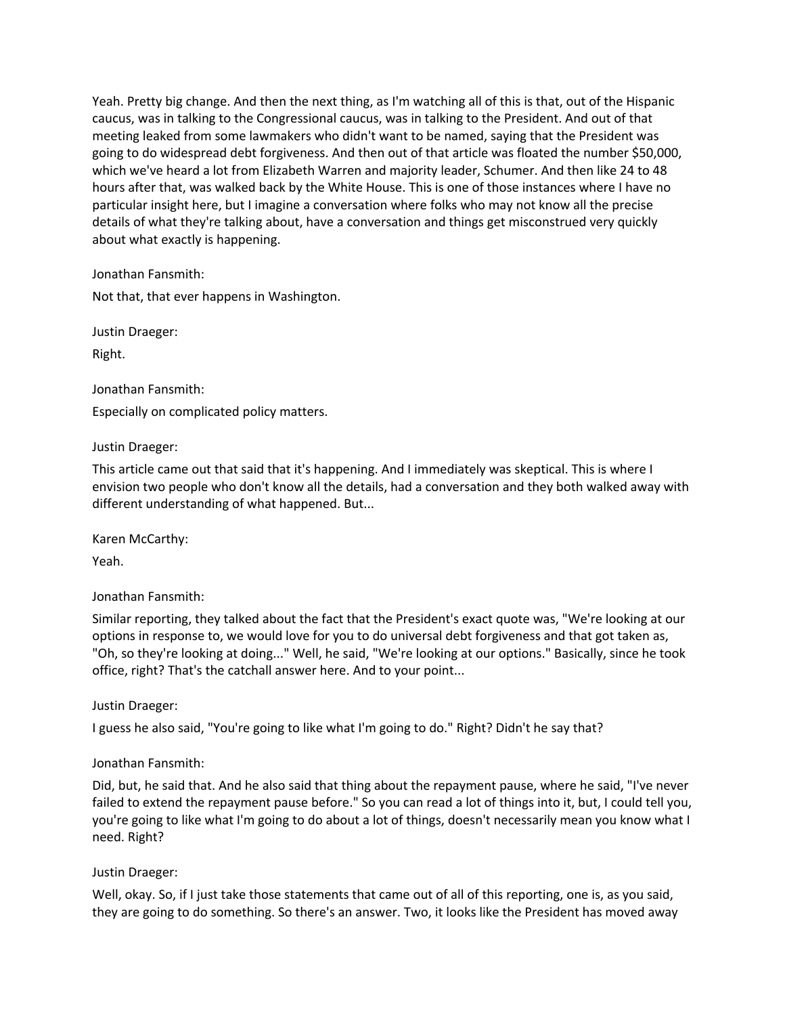Yeah. Pretty big change. And then the next thing, as I'm watching all of this is that, out of the Hispanic caucus, was in talking to the Congressional caucus, was in talking to the President. And out of that meeting leaked from some lawmakers who didn't want to be named, saying that the President was going to do widespread debt forgiveness. And then out of that article was floated the number \$50,000, which we've heard a lot from Elizabeth Warren and majority leader, Schumer. And then like 24 to 48 hours after that, was walked back by the White House. This is one of those instances where I have no particular insight here, but I imagine a conversation where folks who may not know all the precise details of what they're talking about, have a conversation and things get misconstrued very quickly about what exactly is happening.

Jonathan Fansmith:

Not that, that ever happens in Washington.

Justin Draeger:

Right.

Jonathan Fansmith:

Especially on complicated policy matters.

#### Justin Draeger:

This article came out that said that it's happening. And I immediately was skeptical. This is where I envision two people who don't know all the details, had a conversation and they both walked away with different understanding of what happened. But...

Karen McCarthy:

Yeah.

Jonathan Fansmith:

Similar reporting, they talked about the fact that the President's exact quote was, "We're looking at our options in response to, we would love for you to do universal debt forgiveness and that got taken as, "Oh, so they're looking at doing..." Well, he said, "We're looking at our options." Basically, since he took office, right? That's the catchall answer here. And to your point...

Justin Draeger:

I guess he also said, "You're going to like what I'm going to do." Right? Didn't he say that?

#### Jonathan Fansmith:

Did, but, he said that. And he also said that thing about the repayment pause, where he said, "I've never failed to extend the repayment pause before." So you can read a lot of things into it, but, I could tell you, you're going to like what I'm going to do about a lot of things, doesn't necessarily mean you know what I need. Right?

#### Justin Draeger:

Well, okay. So, if I just take those statements that came out of all of this reporting, one is, as you said, they are going to do something. So there's an answer. Two, it looks like the President has moved away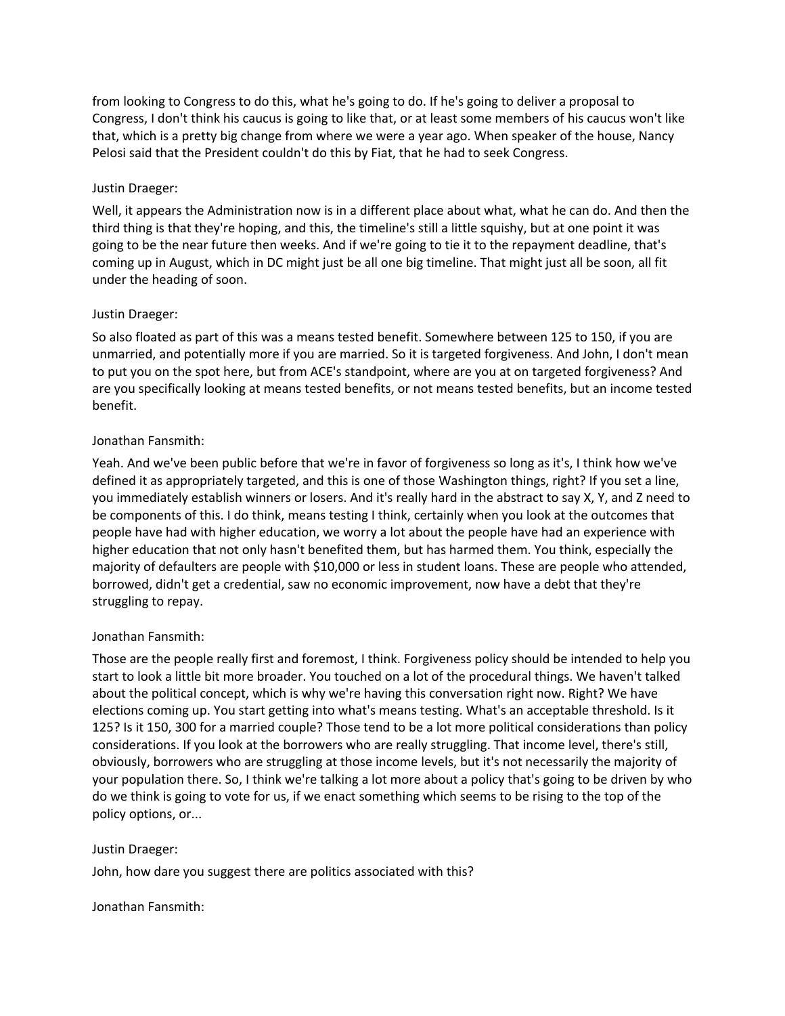from looking to Congress to do this, what he's going to do. If he's going to deliver a proposal to Congress, I don't think his caucus is going to like that, or at least some members of his caucus won't like that, which is a pretty big change from where we were a year ago. When speaker of the house, Nancy Pelosi said that the President couldn't do this by Fiat, that he had to seek Congress.

# Justin Draeger:

Well, it appears the Administration now is in a different place about what, what he can do. And then the third thing is that they're hoping, and this, the timeline's still a little squishy, but at one point it was going to be the near future then weeks. And if we're going to tie it to the repayment deadline, that's coming up in August, which in DC might just be all one big timeline. That might just all be soon, all fit under the heading of soon.

# Justin Draeger:

So also floated as part of this was a means tested benefit. Somewhere between 125 to 150, if you are unmarried, and potentially more if you are married. So it is targeted forgiveness. And John, I don't mean to put you on the spot here, but from ACE's standpoint, where are you at on targeted forgiveness? And are you specifically looking at means tested benefits, or not means tested benefits, but an income tested benefit.

# Jonathan Fansmith:

Yeah. And we've been public before that we're in favor of forgiveness so long as it's, I think how we've defined it as appropriately targeted, and this is one of those Washington things, right? If you set a line, you immediately establish winners or losers. And it's really hard in the abstract to say X, Y, and Z need to be components of this. I do think, means testing I think, certainly when you look at the outcomes that people have had with higher education, we worry a lot about the people have had an experience with higher education that not only hasn't benefited them, but has harmed them. You think, especially the majority of defaulters are people with \$10,000 or less in student loans. These are people who attended, borrowed, didn't get a credential, saw no economic improvement, now have a debt that they're struggling to repay.

# Jonathan Fansmith:

Those are the people really first and foremost, I think. Forgiveness policy should be intended to help you start to look a little bit more broader. You touched on a lot of the procedural things. We haven't talked about the political concept, which is why we're having this conversation right now. Right? We have elections coming up. You start getting into what's means testing. What's an acceptable threshold. Is it 125? Is it 150, 300 for a married couple? Those tend to be a lot more political considerations than policy considerations. If you look at the borrowers who are really struggling. That income level, there's still, obviously, borrowers who are struggling at those income levels, but it's not necessarily the majority of your population there. So, I think we're talking a lot more about a policy that's going to be driven by who do we think is going to vote for us, if we enact something which seems to be rising to the top of the policy options, or...

# Justin Draeger:

John, how dare you suggest there are politics associated with this?

# Jonathan Fansmith: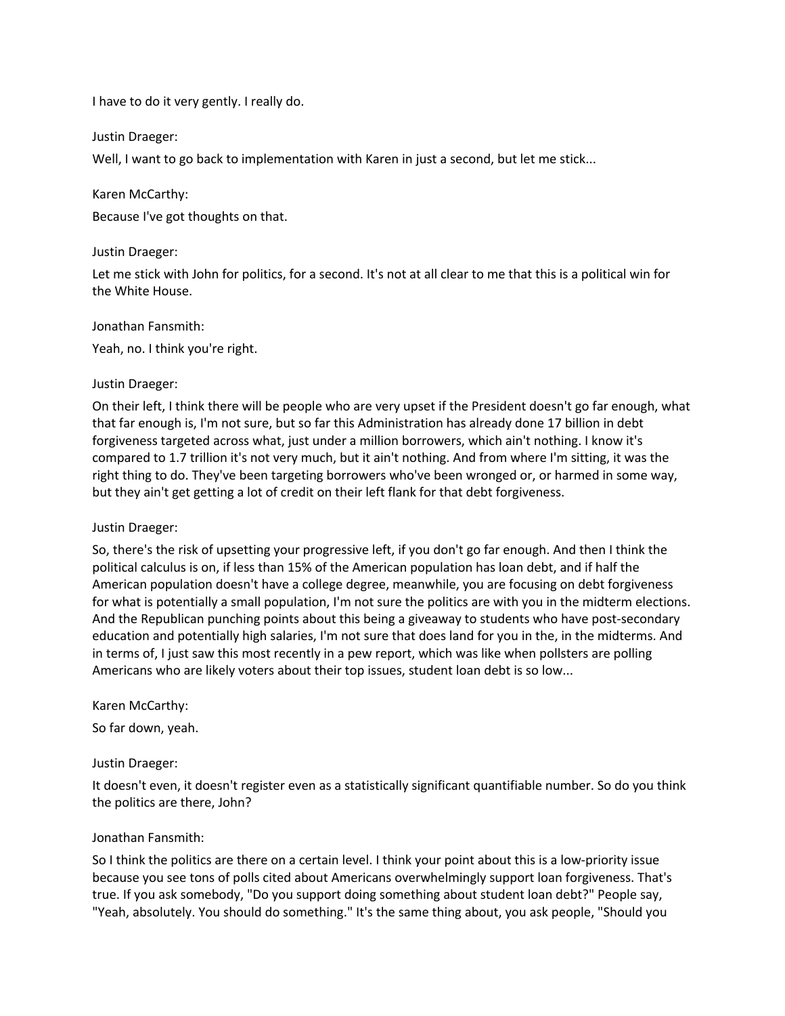I have to do it very gently. I really do.

Justin Draeger:

Well, I want to go back to implementation with Karen in just a second, but let me stick...

Karen McCarthy:

Because I've got thoughts on that.

#### Justin Draeger:

Let me stick with John for politics, for a second. It's not at all clear to me that this is a political win for the White House.

#### Jonathan Fansmith:

Yeah, no. I think you're right.

#### Justin Draeger:

On their left, I think there will be people who are very upset if the President doesn't go far enough, what that far enough is, I'm not sure, but so far this Administration has already done 17 billion in debt forgiveness targeted across what, just under a million borrowers, which ain't nothing. I know it's compared to 1.7 trillion it's not very much, but it ain't nothing. And from where I'm sitting, it was the right thing to do. They've been targeting borrowers who've been wronged or, or harmed in some way, but they ain't get getting a lot of credit on their left flank for that debt forgiveness.

#### Justin Draeger:

So, there's the risk of upsetting your progressive left, if you don't go far enough. And then I think the political calculus is on, if less than 15% of the American population has loan debt, and if half the American population doesn't have a college degree, meanwhile, you are focusing on debt forgiveness for what is potentially a small population, I'm not sure the politics are with you in the midterm elections. And the Republican punching points about this being a giveaway to students who have post-secondary education and potentially high salaries, I'm not sure that does land for you in the, in the midterms. And in terms of, I just saw this most recently in a pew report, which was like when pollsters are polling Americans who are likely voters about their top issues, student loan debt is so low...

#### Karen McCarthy:

So far down, yeah.

#### Justin Draeger:

It doesn't even, it doesn't register even as a statistically significant quantifiable number. So do you think the politics are there, John?

#### Jonathan Fansmith:

So I think the politics are there on a certain level. I think your point about this is a low-priority issue because you see tons of polls cited about Americans overwhelmingly support loan forgiveness. That's true. If you ask somebody, "Do you support doing something about student loan debt?" People say, "Yeah, absolutely. You should do something." It's the same thing about, you ask people, "Should you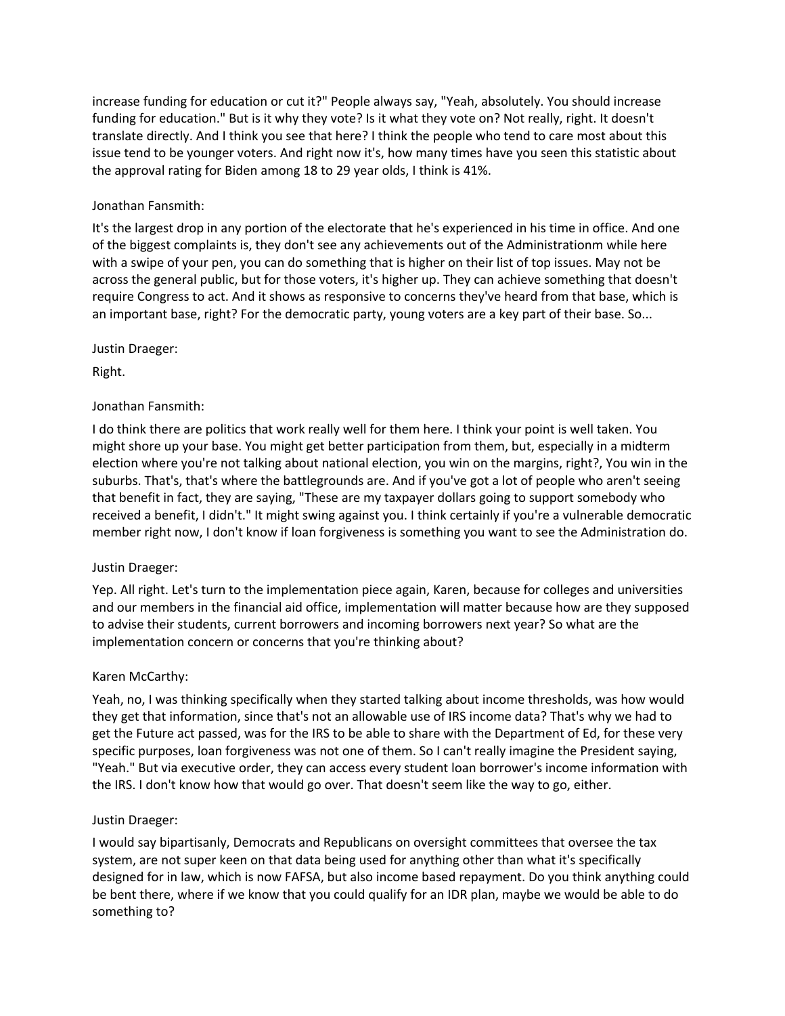increase funding for education or cut it?" People always say, "Yeah, absolutely. You should increase funding for education." But is it why they vote? Is it what they vote on? Not really, right. It doesn't translate directly. And I think you see that here? I think the people who tend to care most about this issue tend to be younger voters. And right now it's, how many times have you seen this statistic about the approval rating for Biden among 18 to 29 year olds, I think is 41%.

# Jonathan Fansmith:

It's the largest drop in any portion of the electorate that he's experienced in his time in office. And one of the biggest complaints is, they don't see any achievements out of the Administrationm while here with a swipe of your pen, you can do something that is higher on their list of top issues. May not be across the general public, but for those voters, it's higher up. They can achieve something that doesn't require Congress to act. And it shows as responsive to concerns they've heard from that base, which is an important base, right? For the democratic party, young voters are a key part of their base. So...

# Justin Draeger:

Right.

# Jonathan Fansmith:

I do think there are politics that work really well for them here. I think your point is well taken. You might shore up your base. You might get better participation from them, but, especially in a midterm election where you're not talking about national election, you win on the margins, right?, You win in the suburbs. That's, that's where the battlegrounds are. And if you've got a lot of people who aren't seeing that benefit in fact, they are saying, "These are my taxpayer dollars going to support somebody who received a benefit, I didn't." It might swing against you. I think certainly if you're a vulnerable democratic member right now, I don't know if loan forgiveness is something you want to see the Administration do.

# Justin Draeger:

Yep. All right. Let's turn to the implementation piece again, Karen, because for colleges and universities and our members in the financial aid office, implementation will matter because how are they supposed to advise their students, current borrowers and incoming borrowers next year? So what are the implementation concern or concerns that you're thinking about?

# Karen McCarthy:

Yeah, no, I was thinking specifically when they started talking about income thresholds, was how would they get that information, since that's not an allowable use of IRS income data? That's why we had to get the Future act passed, was for the IRS to be able to share with the Department of Ed, for these very specific purposes, loan forgiveness was not one of them. So I can't really imagine the President saying, "Yeah." But via executive order, they can access every student loan borrower's income information with the IRS. I don't know how that would go over. That doesn't seem like the way to go, either.

# Justin Draeger:

I would say bipartisanly, Democrats and Republicans on oversight committees that oversee the tax system, are not super keen on that data being used for anything other than what it's specifically designed for in law, which is now FAFSA, but also income based repayment. Do you think anything could be bent there, where if we know that you could qualify for an IDR plan, maybe we would be able to do something to?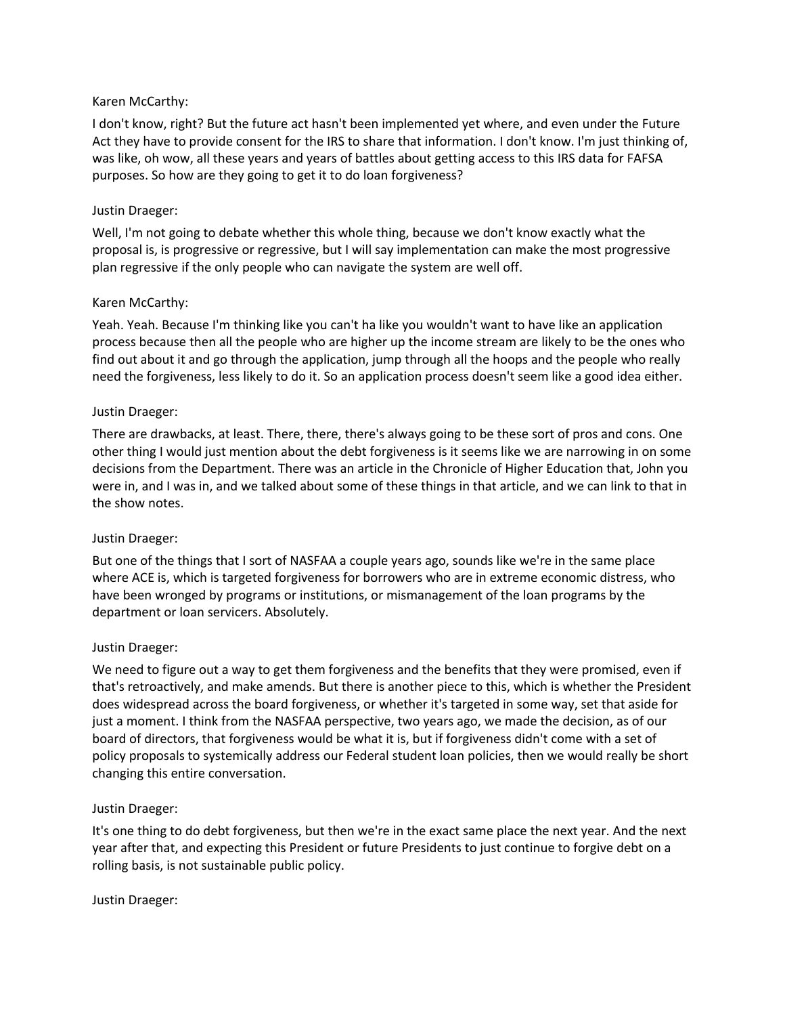# Karen McCarthy:

I don't know, right? But the future act hasn't been implemented yet where, and even under the Future Act they have to provide consent for the IRS to share that information. I don't know. I'm just thinking of, was like, oh wow, all these years and years of battles about getting access to this IRS data for FAFSA purposes. So how are they going to get it to do loan forgiveness?

#### Justin Draeger:

Well, I'm not going to debate whether this whole thing, because we don't know exactly what the proposal is, is progressive or regressive, but I will say implementation can make the most progressive plan regressive if the only people who can navigate the system are well off.

#### Karen McCarthy:

Yeah. Yeah. Because I'm thinking like you can't ha like you wouldn't want to have like an application process because then all the people who are higher up the income stream are likely to be the ones who find out about it and go through the application, jump through all the hoops and the people who really need the forgiveness, less likely to do it. So an application process doesn't seem like a good idea either.

#### Justin Draeger:

There are drawbacks, at least. There, there, there's always going to be these sort of pros and cons. One other thing I would just mention about the debt forgiveness is it seems like we are narrowing in on some decisions from the Department. There was an article in the Chronicle of Higher Education that, John you were in, and I was in, and we talked about some of these things in that article, and we can link to that in the show notes.

#### Justin Draeger:

But one of the things that I sort of NASFAA a couple years ago, sounds like we're in the same place where ACE is, which is targeted forgiveness for borrowers who are in extreme economic distress, who have been wronged by programs or institutions, or mismanagement of the loan programs by the department or loan servicers. Absolutely.

#### Justin Draeger:

We need to figure out a way to get them forgiveness and the benefits that they were promised, even if that's retroactively, and make amends. But there is another piece to this, which is whether the President does widespread across the board forgiveness, or whether it's targeted in some way, set that aside for just a moment. I think from the NASFAA perspective, two years ago, we made the decision, as of our board of directors, that forgiveness would be what it is, but if forgiveness didn't come with a set of policy proposals to systemically address our Federal student loan policies, then we would really be short changing this entire conversation.

#### Justin Draeger:

It's one thing to do debt forgiveness, but then we're in the exact same place the next year. And the next year after that, and expecting this President or future Presidents to just continue to forgive debt on a rolling basis, is not sustainable public policy.

#### Justin Draeger: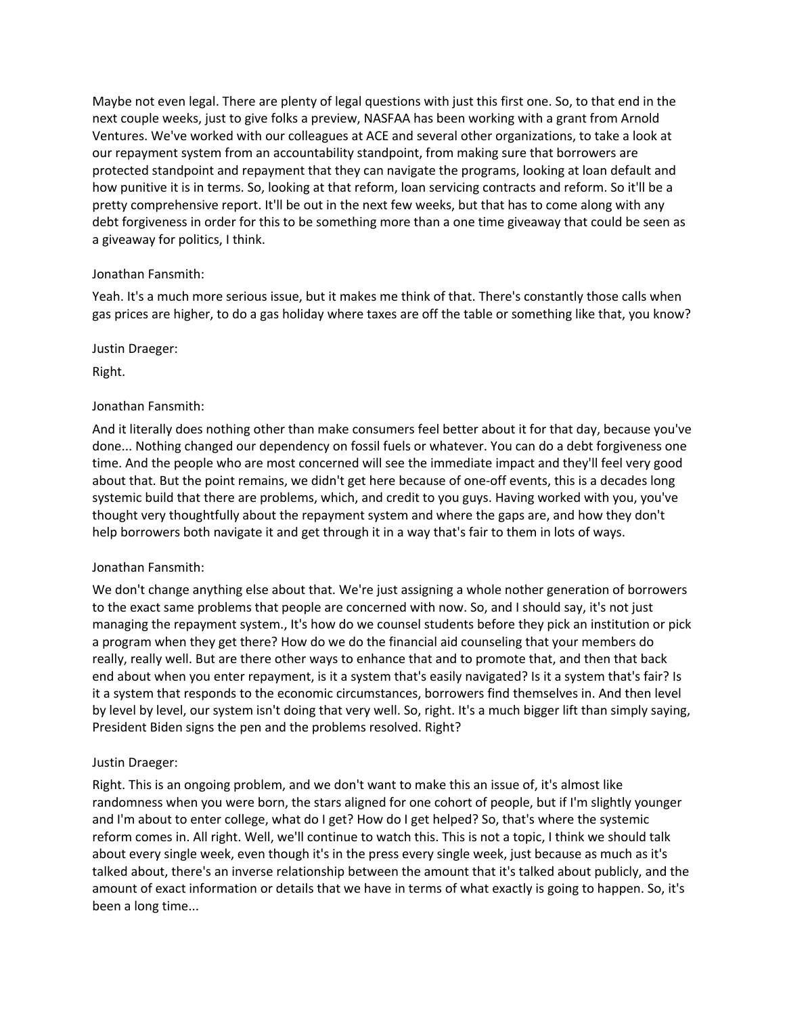Maybe not even legal. There are plenty of legal questions with just this first one. So, to that end in the next couple weeks, just to give folks a preview, NASFAA has been working with a grant from Arnold Ventures. We've worked with our colleagues at ACE and several other organizations, to take a look at our repayment system from an accountability standpoint, from making sure that borrowers are protected standpoint and repayment that they can navigate the programs, looking at loan default and how punitive it is in terms. So, looking at that reform, loan servicing contracts and reform. So it'll be a pretty comprehensive report. It'll be out in the next few weeks, but that has to come along with any debt forgiveness in order for this to be something more than a one time giveaway that could be seen as a giveaway for politics, I think.

# Jonathan Fansmith:

Yeah. It's a much more serious issue, but it makes me think of that. There's constantly those calls when gas prices are higher, to do a gas holiday where taxes are off the table or something like that, you know?

Justin Draeger:

Right.

# Jonathan Fansmith:

And it literally does nothing other than make consumers feel better about it for that day, because you've done... Nothing changed our dependency on fossil fuels or whatever. You can do a debt forgiveness one time. And the people who are most concerned will see the immediate impact and they'll feel very good about that. But the point remains, we didn't get here because of one-off events, this is a decades long systemic build that there are problems, which, and credit to you guys. Having worked with you, you've thought very thoughtfully about the repayment system and where the gaps are, and how they don't help borrowers both navigate it and get through it in a way that's fair to them in lots of ways.

# Jonathan Fansmith:

We don't change anything else about that. We're just assigning a whole nother generation of borrowers to the exact same problems that people are concerned with now. So, and I should say, it's not just managing the repayment system., It's how do we counsel students before they pick an institution or pick a program when they get there? How do we do the financial aid counseling that your members do really, really well. But are there other ways to enhance that and to promote that, and then that back end about when you enter repayment, is it a system that's easily navigated? Is it a system that's fair? Is it a system that responds to the economic circumstances, borrowers find themselves in. And then level by level by level, our system isn't doing that very well. So, right. It's a much bigger lift than simply saying, President Biden signs the pen and the problems resolved. Right?

# Justin Draeger:

Right. This is an ongoing problem, and we don't want to make this an issue of, it's almost like randomness when you were born, the stars aligned for one cohort of people, but if I'm slightly younger and I'm about to enter college, what do I get? How do I get helped? So, that's where the systemic reform comes in. All right. Well, we'll continue to watch this. This is not a topic, I think we should talk about every single week, even though it's in the press every single week, just because as much as it's talked about, there's an inverse relationship between the amount that it's talked about publicly, and the amount of exact information or details that we have in terms of what exactly is going to happen. So, it's been a long time...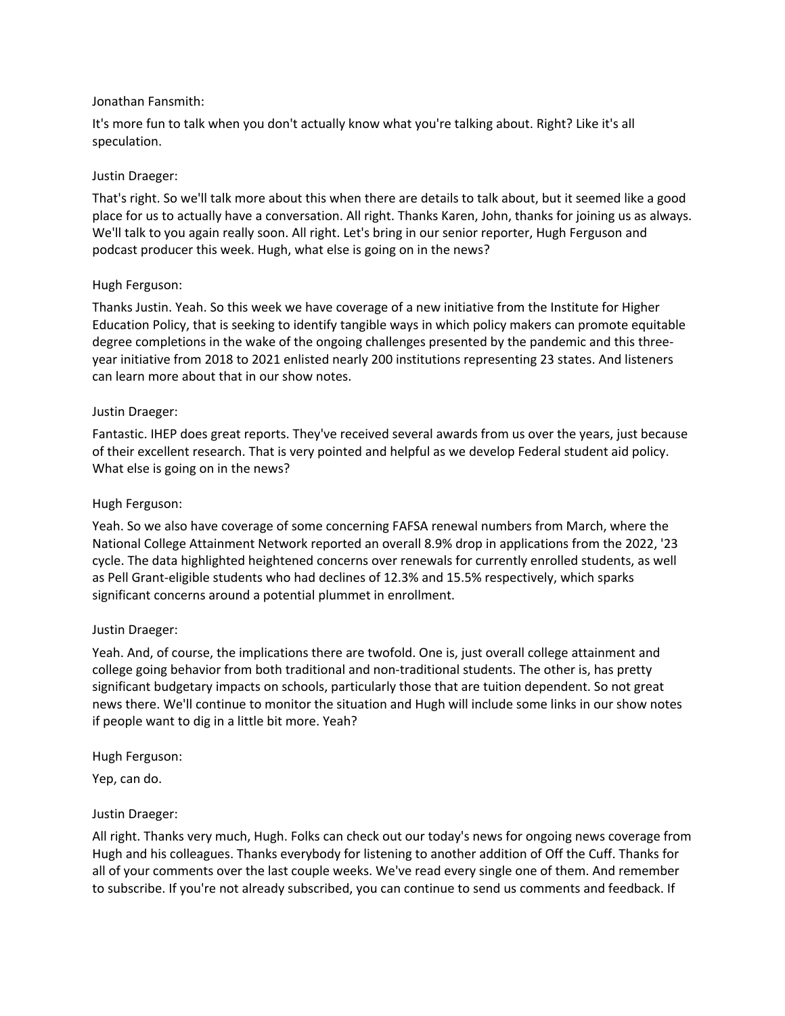# Jonathan Fansmith:

It's more fun to talk when you don't actually know what you're talking about. Right? Like it's all speculation.

#### Justin Draeger:

That's right. So we'll talk more about this when there are details to talk about, but it seemed like a good place for us to actually have a conversation. All right. Thanks Karen, John, thanks for joining us as always. We'll talk to you again really soon. All right. Let's bring in our senior reporter, Hugh Ferguson and podcast producer this week. Hugh, what else is going on in the news?

#### Hugh Ferguson:

Thanks Justin. Yeah. So this week we have coverage of a new initiative from the Institute for Higher Education Policy, that is seeking to identify tangible ways in which policy makers can promote equitable degree completions in the wake of the ongoing challenges presented by the pandemic and this threeyear initiative from 2018 to 2021 enlisted nearly 200 institutions representing 23 states. And listeners can learn more about that in our show notes.

#### Justin Draeger:

Fantastic. IHEP does great reports. They've received several awards from us over the years, just because of their excellent research. That is very pointed and helpful as we develop Federal student aid policy. What else is going on in the news?

#### Hugh Ferguson:

Yeah. So we also have coverage of some concerning FAFSA renewal numbers from March, where the National College Attainment Network reported an overall 8.9% drop in applications from the 2022, '23 cycle. The data highlighted heightened concerns over renewals for currently enrolled students, as well as Pell Grant-eligible students who had declines of 12.3% and 15.5% respectively, which sparks significant concerns around a potential plummet in enrollment.

#### Justin Draeger:

Yeah. And, of course, the implications there are twofold. One is, just overall college attainment and college going behavior from both traditional and non-traditional students. The other is, has pretty significant budgetary impacts on schools, particularly those that are tuition dependent. So not great news there. We'll continue to monitor the situation and Hugh will include some links in our show notes if people want to dig in a little bit more. Yeah?

Hugh Ferguson:

Yep, can do.

# Justin Draeger:

All right. Thanks very much, Hugh. Folks can check out our today's news for ongoing news coverage from Hugh and his colleagues. Thanks everybody for listening to another addition of Off the Cuff. Thanks for all of your comments over the last couple weeks. We've read every single one of them. And remember to subscribe. If you're not already subscribed, you can continue to send us comments and feedback. If